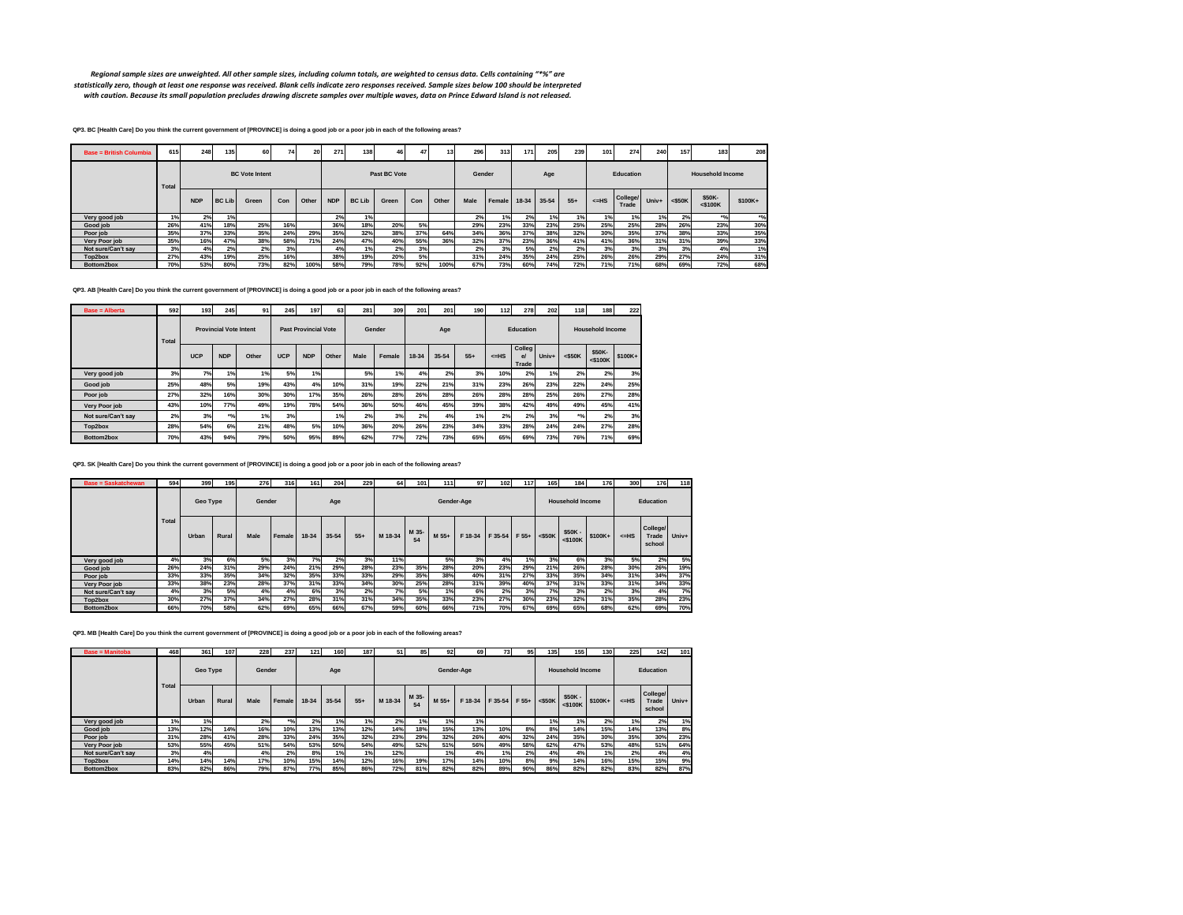Regional sample sizes are unweighted. All other sample sizes, including column totals, are weighted to census data. Cells containing "\*%" are<br>statistically zero, though at least one response was received. Blank cells indic *with caution. Because its small population precludes drawing discrete samples over multiple waves, data on Prince Edward Island is not released.*

**QP3. BC [Health Care] Do you think the current government of [PROVINCE] is doing a good job or a poor job in each of the following areas?**

| <b>Base = British Columbia</b> | 615   | 248        | 135           | 60                    | 74  | 20    | 271        | 138           | 46           | 47  | 13    | 296    | 313    | 171   | 205   | 239   | 101 <sub>1</sub> | 274               | 240   | 157       | 183                     | 208              |
|--------------------------------|-------|------------|---------------|-----------------------|-----|-------|------------|---------------|--------------|-----|-------|--------|--------|-------|-------|-------|------------------|-------------------|-------|-----------|-------------------------|------------------|
|                                | Total |            |               | <b>BC</b> Vote Intent |     |       |            |               | Past BC Vote |     |       | Gender |        |       | Age   |       |                  | Education         |       |           | <b>Household Income</b> |                  |
|                                |       | <b>NDP</b> | <b>BC Lib</b> | Green                 | Con | Other | <b>NDP</b> | <b>BC Lib</b> | Green        | Con | Other | Male   | Female | 18-34 | 35-54 | $55+$ | $<=$ HS          | College/<br>Trade | Univ+ | $<$ \$50K | \$50K-<br>$<$ \$100K    | $$100K+$         |
| Very good job                  | 1%    | 2%         | 1%            |                       |     |       | 2%         | 1%            |              |     |       | 2%     | 1%     | 2%    | 1%    | 1%    | 1%               | 1%                | 1%    | 2%        | $*$ o/                  | $*$ <sup>o</sup> |
| Good job                       | 26%   | 41%        | 18%           | 25%                   | 16% |       | 36%        | 18%           | 20%          | 5%  |       | 29%    | 23%    | 33%   | 23%   | 25%   | 25%              | 25%               | 28%   | 26%       | 23%                     | 30%              |
| Poor job                       | 35%   | 37%        | 33%           | 35%                   | 24% | 29%   | 35%        | 32%           | 38%          | 37% | 64%   | 34%    | 36%    | 37%   | 38%   | 32%   | 30%              | 35%               | 37%   | 38%       | 33%                     | 35%              |
| Very Poor job                  | 35%   | 16%        | 47%           | 38%                   | 58% | 71%   | 24%        | 47%           | 40%          | 55% | 36%   | 32%    | 37%    | 23%   | 36%   | 41%   | 41%              | 36%               | 31%   | 31%       | 39%                     | 33%              |
| Not sure/Can't say             | 3%    | 4%         | 2%            | 2%                    | 3%  |       | 4%         | 1%            | 2%           | 3%  |       | 2%     | 3%     | 5%    | 2%    | 2%    | 3%               | 3%                | 3%    | 3%        | 4%                      | 1%               |
| Top2box                        | 27%   | 43%        | 19%           | <b>25%</b>            | 16% |       | 38%        | 19%           | 20%          | 5%  |       | 31%    | 24%    | 35%   | 24%   | 25%   | 26%              | 26%               | 29%   | 27%       | 24%                     | 31%              |
| Bottom2box                     | 70%   | 53%        | 80%           | 73%                   | 82% | 100%  | 58%        | 79%           | 78%          | 92% | 100%  | 67%    | 73%    | 60%   | 74%   | 72%   | 71%              | 71%               | 68%   | 69%       | 72%                     | 68%              |

**QP3. AB [Health Care] Do you think the current government of [PROVINCE] is doing a good job or a poor job in each of the following areas?**

| <b>Base = Alberta</b> | 592          | 193        | 245                             | 91    | 245        | 197                         | 63    | 281  | 309    | 201   | <b>201</b> | 190   | 112   | 278                             | 202   | 118       | 188                     | 222     |
|-----------------------|--------------|------------|---------------------------------|-------|------------|-----------------------------|-------|------|--------|-------|------------|-------|-------|---------------------------------|-------|-----------|-------------------------|---------|
|                       | <b>Total</b> |            | <b>Provincial Vote Intent</b>   |       |            | <b>Past Provincial Vote</b> |       |      | Gender |       | Age        |       |       | Education                       |       |           | <b>Household Income</b> |         |
|                       |              | <b>UCP</b> | <b>NDP</b>                      | Other | <b>UCP</b> | <b>NDP</b>                  | Other | Male | Female | 18-34 | 35-54      | $55+$ | $=HS$ | Colleg<br>$\mathbf{a}$<br>Trade | Univ+ | $<$ \$50K | \$50K-<br>$<$ \$100 $K$ | \$100K+ |
| Very good job         | 3%           | 7%         | 1%                              | 1%    | 5%         | 1%                          |       | 5%   | 1%     | 4%    | 2%         | 3%    | 10%   | 2%                              | 1%    | 2%        | 2%                      | 3%      |
| Good job              | 25%          | 48%        | 5%                              | 19%   | 43%        | 4%                          | 10%   | 31%  | 19%    | 22%   | 21%        | 31%   | 23%   | 26%                             | 23%   | 22%       | 24%                     | 25%     |
| Poor job              | 27%          | 32%        | 16%                             | 30%   | 30%        | 17%                         | 35%   | 26%  | 28%    | 26%   | 28%        | 26%   | 28%   | 28%                             | 25%   | 26%       | 27%                     | 28%     |
| Very Poor job         | 43%          | 10%        | 77%                             | 49%   | 19%        | 78%                         | 54%   | 36%  | 50%    | 46%   | 45%        | 39%   | 38%   | 42%                             | 49%   | 49%       | 45%                     | 41%     |
| Not sure/Can't sav    | 2%           | 3%         | $*$ <sup>o</sup> / <sub>0</sub> | 1%    | 3%         |                             | 1%    | 2%   | 3%     | 2%    | 4%         | 1%    | 2%    | 2%                              | 3%    | $*$ o/    | 2%                      | 3%      |
| Top2box               | 28%          | 54%        | 6%                              | 21%   | 48%        | 5%                          | 10%   | 36%  | 20%    | 26%   | 23%        | 34%   | 33%   | 28%                             | 24%   | 24%       | 27%                     | 28%     |
| Bottom2box            | 70%          | 43%        | 94%                             | 79%   | 50%        | 95%                         | 89%   | 62%  | 77%    | 72%   | 73%        | 65%   | 65%   | 69%                             | 73%   | 76%       | 71%                     | 69%     |

**QP3. SK [Health Care] Do you think the current government of [PROVINCE] is doing a good job or a poor job in each of the following areas?**

| <b>Base = Saskatchewan</b> | 594   | 399      | 195   | 276    | 316    | 161   | 204       | 229   | 64      | 101 <sub>1</sub> | 111        | 97      | 102           | 117 | 165       | 184                      | 176      | 300    | 176                         | 118   |
|----------------------------|-------|----------|-------|--------|--------|-------|-----------|-------|---------|------------------|------------|---------|---------------|-----|-----------|--------------------------|----------|--------|-----------------------------|-------|
|                            |       | Geo Type |       | Gender |        |       | Age       |       |         |                  | Gender-Age |         |               |     |           | Household Income         |          |        | <b>Education</b>            |       |
|                            | Total | Urban    | Rural | Male   | Female | 18-34 | $35 - 54$ | $55+$ | M 18-34 | M 35-<br>54      | M 55+      | F 18-34 | F 35-54 F 55+ |     | $<$ \$50K | \$50K -<br>$<$ \$100 $K$ | $$100K+$ | $=$ HS | College/<br>Trade<br>school | Univ+ |
| Very good job              | 4%    | 3%       | 6%    | 5%     | 3%     | 7%    | 2%        | 3%    | 11%     |                  | 5%         | 3%      | 4%            | 1%  | 3%        | 6%                       | 3%       | 5%     | 2%                          | 5%    |
| Good job                   | 26%   | 24%      | 31%   | 29%    | 24%    | 21%   | 29%       | 28%   | 23%     | 35%              | 28%        | 20%     | 23%           | 29% | 21%       | 26%                      | 28%      | 30%    | 26%                         | 19%   |
| Poor job                   | 33%   | 33%      | 35%   | 34%    | 32%    | 35%   | 33%       | 33%   | 29%     | 35%              | 38%        | 40%     | 31%           | 27% | 33%       | 35%                      | 34%      | 31%    | 34%                         | 37%   |
| Very Poor job              | 33%   | 38%      | 23%   | 28%    | 37%    | 31%   | 33%       | 34%   | 30%     | 25%              | 28%        | 31%     | 39%           | 40% | 37%       | 31%                      | 33%      | 31%    | 34%                         | 33%   |
| Not sure/Can't say         | 4%    | 3%       | 5%    | 4%     | 4%     | 6%    | 3%        | 2%    | 7%      | 5%               | 1%         | 6%      | 2%            | 3%  | 7%        | 3%                       | 2%       | 3%     | 4%                          | 7%    |
| Top2box                    | 30%   | 27%      | 37%   | 34%    | 27%    | 28%   | 31%       | 31%   | 34%     | 35%              | 33%        | 23%     | 27%           | 30% | 23%       | 32%                      | 31%      | 35%    | 28%                         | 23%   |
| Bottom2box                 | 66%   | 70%      | 58%   | 62%    | 69%    | 65%   | 66%       | 67%   | 59%     | 60%              | 66%        | 71%     | 70%           | 67% | 69%       | 65%                      | 68%      | 62%    | 69%                         | 70%   |

**QP3. MB [Health Care] Do you think the current government of [PROVINCE] is doing a good job or a poor job in each of the following areas?**

| <b>Base = Manitoba</b> | 468          | 361             | 107   | 228    | 237                             | 121   | 160       | 187   | 51      | 85          | 92         | 69      | 73      | 95    | 135 <sup>1</sup> | 155                      | 130 <sup>1</sup> | 225   | 142                         | 101   |
|------------------------|--------------|-----------------|-------|--------|---------------------------------|-------|-----------|-------|---------|-------------|------------|---------|---------|-------|------------------|--------------------------|------------------|-------|-----------------------------|-------|
|                        |              | <b>Geo Type</b> |       | Gender |                                 |       | Age       |       |         |             | Gender-Age |         |         |       |                  | Household Income         |                  |       | Education                   |       |
|                        | <b>Total</b> | Urban           | Rural | Male   | Female                          | 18-34 | $35 - 54$ | $55+$ | M 18-34 | M 35-<br>54 | M 55+      | F 18-34 | F 35-54 | F 55+ | $<$ \$50K        | \$50K -<br>$<$ \$100 $K$ | \$100K+          | $=HS$ | College/<br>Trade<br>school | Univ+ |
| Very good job          | 1%           | 1%              |       | 2%     | $*$ <sup>o</sup> / <sub>0</sub> | 2%    | 1%        | 1%    | 2%      | 1%          | 1%         | 1%      |         |       | 1%               | 1%                       | 2%               | 1%    | 2%                          | 1%    |
| Good job               | 13%          | 12%             | 14%   | 16%    | 10%                             | 13%   | 13%       | 12%   | 14%     | 18%         | 15%        | 13%     | 10%     | 8%    | 8%               | 14%                      | 15%              | 14%   | 13%                         | 8%    |
| Poor job               | 31%          | 28%             | 41%   | 28%    | 33%                             | 24%   | 35%       | 32%   | 23%     | 29%         | 32%        | 26%     | 40%     | 32%   | 24%              | 35%                      | 30%              | 35%   | 30%                         | 23%   |
| Very Poor job          | 53%          | 55%             | 45%   | 51%    | 54%                             | 53%   | 50%       | 54%   | 49%     | 52%         | 51%        | 56%     | 49%     | 58%   | 62%              | 47%                      | 53%              | 48%   | 51%                         | 64%   |
| Not sure/Can't say     | 3%           | 4%              |       | 4%     | 2%                              | 8%    | 1%        | 1%    | 12%     |             | 1%         | 4%      | 1%      | 2%    | 4%               | 4%                       | 1%               | 2%    | 4%                          | 4%    |
| Top2box                | 14%          | 14%             | 14%   | 17%    | 10%                             | 15%   | 14%       | 12%   | 16%     | 19%         | 17%        | 14%     | 10%     | 8%    | 9%               | 14%                      | 16%              | 15%   | 15%                         | 9%    |
| Bottom2box             | 83%          | 82%             | 86%   | 79%    | 87%                             | 77%   | 85%       | 86%   | 72%     | 81%         | 82%        | 82%     | 89%     | 90%   | 86%              | 82%                      | 82%              | 83%   | 82%                         | 87%   |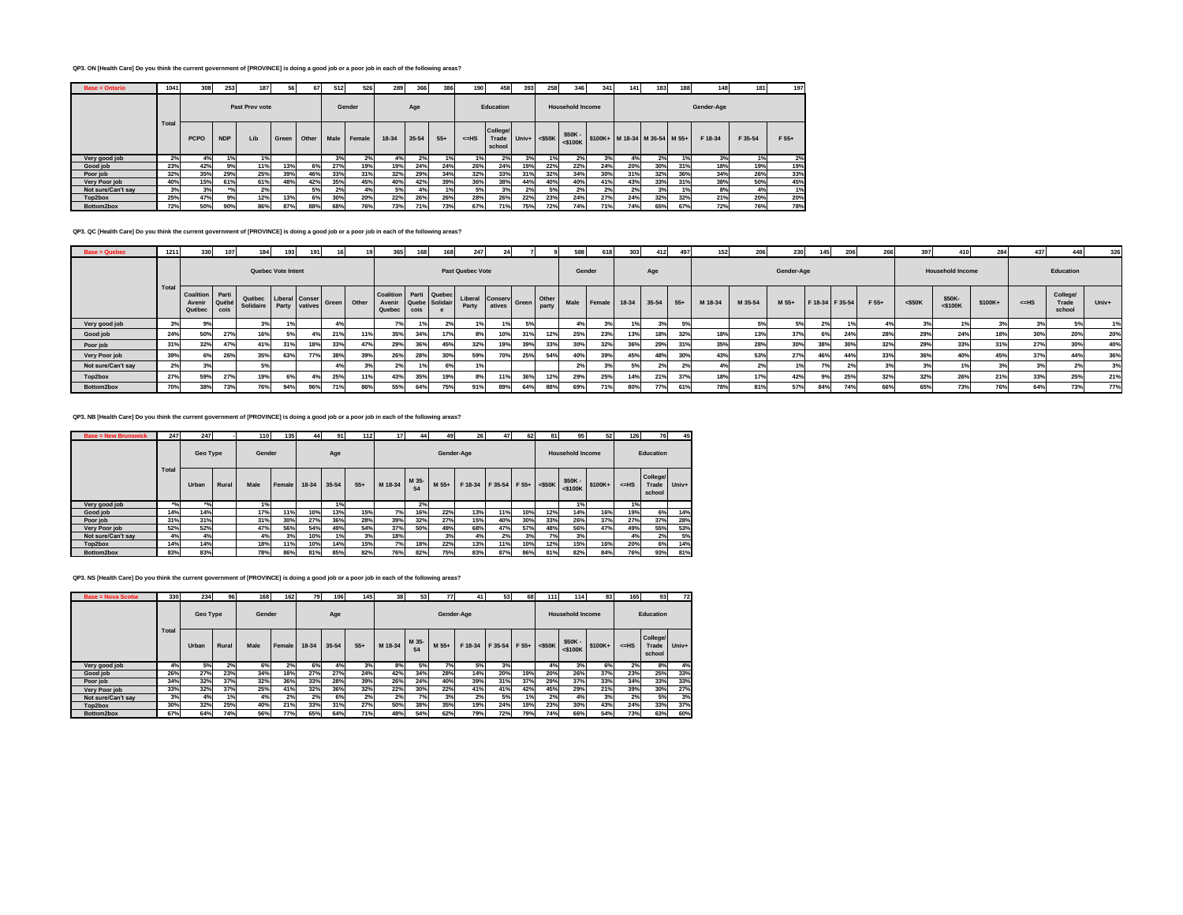## **QP3. ON [Health Care] Do you think the current government of [PROVINCE] is doing a good job or a poor job in each of the following areas?**

| <b>Base = Ontario</b> | 10411 | 308         | 253                | 187            | 56    | 67    | 512  | 526    | 289   | 366       | 386   | 190     | 458                                | 393 | 258                | 346                       | 341 | 141 | 1831                          | 188 | 148        | 181     | 197     |
|-----------------------|-------|-------------|--------------------|----------------|-------|-------|------|--------|-------|-----------|-------|---------|------------------------------------|-----|--------------------|---------------------------|-----|-----|-------------------------------|-----|------------|---------|---------|
|                       |       |             |                    | Past Prov vote |       |       |      | Gender |       | Age       |       |         | Education                          |     |                    | <b>Household Income</b>   |     |     |                               |     | Gender-Age |         |         |
|                       | Total | <b>PCPO</b> | <b>NDP</b>         | Lib            | Green | Other | Male | Female | 18-34 | $35 - 54$ | $55+$ | $<=$ HS | <b>College/</b><br>Trade<br>school |     | Univ+ $\leq$ \$50K | $$50K -$<br>$<$ \$100 $K$ |     |     | \$100K+ M 18-34 M 35-54 M 55+ |     | F 18-34    | F 35-54 | $F 55+$ |
| Very good job         | 2%    | 4%          | 1%                 | 1%             |       |       | 3%   | 2%     | 4%    | 2%        |       | 1%      | 2%                                 | 3%  | 1%                 | 2%                        | 3%  | 4%  | 2%                            |     | 3%         | 1%      | 2%      |
| Good job              | 23%   | 42%         | 9%                 | 11%            | 13%   | 6%    | 27%  | 19%    | 19%   | 24%       | 24%   | 26%     | 24%                                | 19% | 22%                | 22%                       | 24% | 20% | 30%                           | 31% | 18%        | 19%     | 19%     |
| Poor job              | 32%   | 35%         | 29%                | 25%            | 39%   | 46%   | 33%  | 31%    | 32%   | 29%       | 34%   | 32%     | 33%                                | 31% | 32%                | 34%                       | 30% | 31% | 32%                           | 36% | 34%        | 26%     | 33%     |
| Very Poor job         | 40%   | 15%         | 61%                | 61%            | 48%   | 42%   | 35%  | 45%    | 40%   | 42%       | 39%   | 36%     | 38%                                | 44% | 40%                | 40%                       | 41% | 43% | 33%                           | 31% | 38%        | 50%     | 45%     |
| Not sure/Can't sav    | 3%    | 3%          | $*$ <sup>o</sup> / | 2%             |       | 5%    | 2%   | 4%     | 5%    | 4%        | 1%    | 5%      | 3%                                 | 2%  | 5%                 | 2%                        | 2%  | 2%  | 3%                            |     | 8%         | 4%      | 1%      |
| Top2box               | 25%   | 47%         | 9%                 | 12%            | 13%   | 6%    | 30%  | 20%    | 22%   | 26%       | 26%   | 28%     | 26%                                | 22% | 23%                | 24%                       | 27% | 24% | 32%                           | 32% | 21%        | 20%     | 20%     |
| Bottom2box            | 72%   | 50%         | 90%                | 86%            | 87%   | 88%   | 68%  | 76%    | 73%   | 71%       | 73%   | 67%     | 71%                                | 75% | 72%                | 74%                       | 71% | 74% | 65%                           | 67% | 72%        | 76%     | 78%     |

**QP3. QC [Health Care] Do you think the current government of [PROVINCE] is doing a good job or a poor job in each of the following areas?**

| Base = Quebec      |                 | 330                                        | 107          | 184                                              | 193                | 191 |     | 19          | 365                                  | 168                    | 168          | 247                             |          |       |                | 588    |        | 303     | 412            | 497   | 152     | 206     | 230        | 145 | 206             | 266   |           |                         | 284             |         |                             | 326        |
|--------------------|-----------------|--------------------------------------------|--------------|--------------------------------------------------|--------------------|-----|-----|-------------|--------------------------------------|------------------------|--------------|---------------------------------|----------|-------|----------------|--------|--------|---------|----------------|-------|---------|---------|------------|-----|-----------------|-------|-----------|-------------------------|-----------------|---------|-----------------------------|------------|
|                    |                 |                                            |              |                                                  | Quebec Vote Intent |     |     |             |                                      |                        |              | Past Quebec Vote                |          |       |                | Gender |        |         | Age            |       |         |         | Gender-Age |     |                 |       |           | <b>Household Income</b> |                 |         | Education                   |            |
|                    | Tota            | <b>Coalition</b> Parti<br>Avenin<br>Québec | Québ<br>cois | Québec Liberal Conser<br>Solidaire Party vatives |                    |     |     | Green Other | <b>Coalition</b><br>Avenir<br>Quebec | Quebe Solidair<br>cois | Parti Quebec | <b>Liberal Conserv</b><br>Party | l atives | Green | Other<br>party | Male   | Female | $18-34$ | 35-54          | $55+$ | M 18-34 | M 35-54 | M 55+      |     | F 18-34 F 35-54 | F 55+ | $<$ \$50K | \$50K-<br>$<$ \$100K    | \$100K+         | $<=$ HS | College/<br>Trade<br>school | Univ+      |
| Very good job      |                 | 9%                                         |              |                                                  |                    |     |     |             |                                      |                        |              |                                 |          |       |                |        | 3%     | 1%      | 3 <sup>°</sup> |       |         |         |            |     |                 |       |           |                         |                 |         | 5%                          |            |
| Good job           | 24%             | 50%                                        | 27%          | 16%                                              |                    |     | 21% | 11%         | 35%                                  | 34%                    |              |                                 |          | 31%   | 12%            | 25%    | 23%    | 13%     |                | 32'   | 18%     | 13%     | 37%        |     | 24%             | 28%   | 29%       | 24%                     | 18%             | 30%     | 20%                         | <b>20%</b> |
| Poor job           | 31%             | 32%                                        | 47%          |                                                  | 31%                | 18% | 33% | 47%         | 29%                                  | 36%                    | 45%          | 32%                             |          | 39%   | 33%            | 30%    | 32%    | 36%     | 29%            |       | 35%     | 28%     | 30%        | 38  | 30%             | 32%   | 29%       | 33%                     | 31 <sup>°</sup> | 27%     | 30%                         | 40%        |
| Very Poor job      | 39%             | 6%                                         | 26%          | 35%                                              | 63%                | 77% | 38% | 39%         | 26%                                  | 28%                    | 30%          | 59%                             | 70%      | 25%   | 54%            | 40%    | 39%    | 45%     |                | 30    | 43%     | 53%     | 27%        |     | 44%             | 33%   | 36%       | 40%                     | 45%             | 37%     | 44%                         | 36%        |
| Not sure/Can't say |                 | 3%                                         |              | 5%                                               |                    |     |     | 3%          | 2%                                   | 1%                     | 6%           |                                 |          |       |                | 2%     | 3%     | 5%      | 2%             |       | 4%      |         |            |     | 2 <sup>o</sup>  | 3%    |           |                         | 20              |         | 2%                          | 3%         |
| Top2box            | 27 <sup>6</sup> | 59%                                        | 27%          | 19%                                              |                    |     | 25% | 11%         | 43%                                  | 35%                    |              |                                 | 449      | 36%   | 12%            | 29%    | 25%    | 14%     | 241<br>417     | 270   | 18%     |         | 42%        |     | 25%             | 32%   | 32%       | 26%                     | 21%             | 33%     | 25%                         | 21%        |
| Bottom2box         | 70%             | 38%                                        | 73%          | 76%                                              | 94%                | 96% | 71% | 86%         | 55%                                  | 64%                    | 75%          | 91%                             | 89%      | 64%   | 88%            | 69%    | 71%    | 80%     | --             | 61%   | 78%     | 81%     | 57%        | 84  | 74%             | 66%   | 65%       | 73%                     | 76%             | 64%     | 73%                         | <b>77%</b> |

**QP3. NB [Health Care] Do you think the current government of [PROVINCE] is doing a good job or a poor job in each of the following areas?**

| <b>Base = New Brunswick</b> | 247                | 247                             |       | <b>110</b> | 135    | 44    | 91        | $112$ | 17 <sup>1</sup> | 44          | 49    | 26         | 47            | 62  | 81        | 95                       | 52      | 126    | 76                          | 45    |
|-----------------------------|--------------------|---------------------------------|-------|------------|--------|-------|-----------|-------|-----------------|-------------|-------|------------|---------------|-----|-----------|--------------------------|---------|--------|-----------------------------|-------|
|                             |                    | Geo Type                        |       | Gender     |        |       | Age       |       |                 |             |       | Gender-Age |               |     |           | <b>Household Income</b>  |         |        | <b>Education</b>            |       |
|                             | <b>Total</b>       | Urban                           | Rural | Male       | Female | 18-34 | $35 - 54$ | $55+$ | M 18-34         | M 35-<br>54 | M 55+ | F 18-34    | F 35-54 F 55+ |     | $<$ \$50K | \$50K -<br>$<$ \$100 $K$ | \$100K+ | $=$ HS | College/<br>Trade<br>school | Univ+ |
| Very good job               | $*$ <sup>o</sup> / | $*$ <sup>o</sup> / <sub>0</sub> |       | 1%         |        |       | 1%        |       |                 | 2%          |       |            |               |     |           | 1%                       |         | 1%     |                             |       |
| Good job                    | 14%                | 14%                             |       | 17%        | 11%    | 10%   | 13%       | 15%   | 7%              | 16%         | 22%   | 13%        | 11%           | 10% | 12%       | 14%                      | 16%     | 19%    | 6%                          | 14%   |
| Poor job                    | 31%                | 31%                             |       | 31%        | 30%    | 27%   | 36%       | 28%   | 39%             | 32%         | 27%   | 15%        | 40%           | 30% | 33%       | 26%                      | 37%     | 27%    | 37%                         | 28%   |
| Very Poor job               | 52%                | 52%                             |       | 47%        | 56%    | 54%   | 49%       | 54%   | 37%             | 50%         | 49%   | 68%        | 47%           | 57% | 48%       | 56%                      | 47%     | 49%    | 55%                         | 53%   |
| Not sure/Can't say          | 4%                 | 4%                              |       | 4%         | 3%     | 10%   | 1%        | 3%    | 18%             |             | 3%    | 4%         | 2%            | 3%  | 7%        | 3%                       |         | 4%     | 2%                          | 5%    |
| Top2box                     | 14%                | 14%                             |       | 18%        | 11%    | 10%   | 14%       | 15%   | 7%              | 18%         | 22%   | 13%        | 11%           | 10% | 12%       | 15%                      | 16%     | 20%    | 6%                          | 14%   |
| Bottom2box                  | 83%                | 83%                             |       | 78%        | 86%    | 81%   | 85%       | 82%   | 76%             | 82%         | 75%   | 83%        | 87%           | 86% | 81%       | 82%                      | 84%     | 76%    | 93%                         | 81%   |

**QP3. NS [Health Care] Do you think the current government of [PROVINCE] is doing a good job or a poor job in each of the following areas?**

| <b>Base = Nova Scotia</b> | 330          | 234      | 96    | 168    | 162        | 79    | 106       | 145   | 38      | 53          | 77    | 41         | 53            | 68  | 111       | 114                      | 83      | 165   | 93 <sup>1</sup>             | 72    |
|---------------------------|--------------|----------|-------|--------|------------|-------|-----------|-------|---------|-------------|-------|------------|---------------|-----|-----------|--------------------------|---------|-------|-----------------------------|-------|
|                           |              | Geo Type |       | Gender |            |       | Age       |       |         |             |       | Gender-Age |               |     |           | <b>Household Income</b>  |         |       | Education                   |       |
|                           | <b>Total</b> | Urban    | Rural | Male   | Female     | 18-34 | $35 - 54$ | $55+$ | M 18-34 | M 35-<br>54 | M 55+ | F 18-34    | F 35-54 F 55+ |     | $<$ \$50K | \$50K -<br>$<$ \$100 $K$ | \$100K+ | $=HS$ | College/<br>Trade<br>school | Univ+ |
| Very good job             | 4%           | 5%       | 2%    | 6%     | 2%         | 6%    | 4%        | 3%    | 8%      | 5%          | 7%    | 5%         | 3%            |     | 4%        | 3%                       | 6%      | 2%    | 8%                          | 4%    |
| Good job                  | 26%          | 27%      | 23%   | 34%    | 18%        | 27%   | 27%       | 24%   | 42%     | 34%         | 28%   | 14%        | 20%           | 19% | 20%       | 26%                      | 37%     | 23%   | 25%                         | 33%   |
| Poor job                  | 34%          | 32%      | 37%   | 32%    | 36%        | 33%   | 28%       | 39%   | 26%     | 24%         | 40%   | 39%        | 31%           | 37% | 29%       | 37%                      | 33%     | 34%   | 33%                         | 33%   |
| <b>Very Poor job</b>      | 33%          | 32%      | 37%   | 25%    | 41%        | 32%   | 36%       | 32%   | 22%     | 30%         | 22%   | 41%        | 41%           | 42% | 45%       | 29%                      | 21%     | 39%   | 30%                         | 27%   |
| Not sure/Can't say        | 3%           | 4%       | 1%    | 4%     | 2%         | 2%    | 6%        | 2%    | 2%      | 7%          | 3%    | 2%         | 5%            | 1%  | 2%        | 4%                       | 3%      | 2%    | 5%                          | 3%    |
| Top2box                   | 30%          | 32%      | 25%   | 40%    | 21%        | 33%   | 31%       | 27%   | 50%     | 38%         | 35%   | 19%        | 24%           | 19% | 23%       | 30%                      | 43%     | 24%   | 33%                         | 37%   |
| Bottom2hox                | 67%          | 64%      | 74%   | 56%    | <b>77%</b> | 65%   | 64%       | 71%   | 48%     | 54%         | 62%   | 79%        | 72%           | 79% | 74%       | 66%                      | 54%     | 73%   | 63%                         | 60%   |